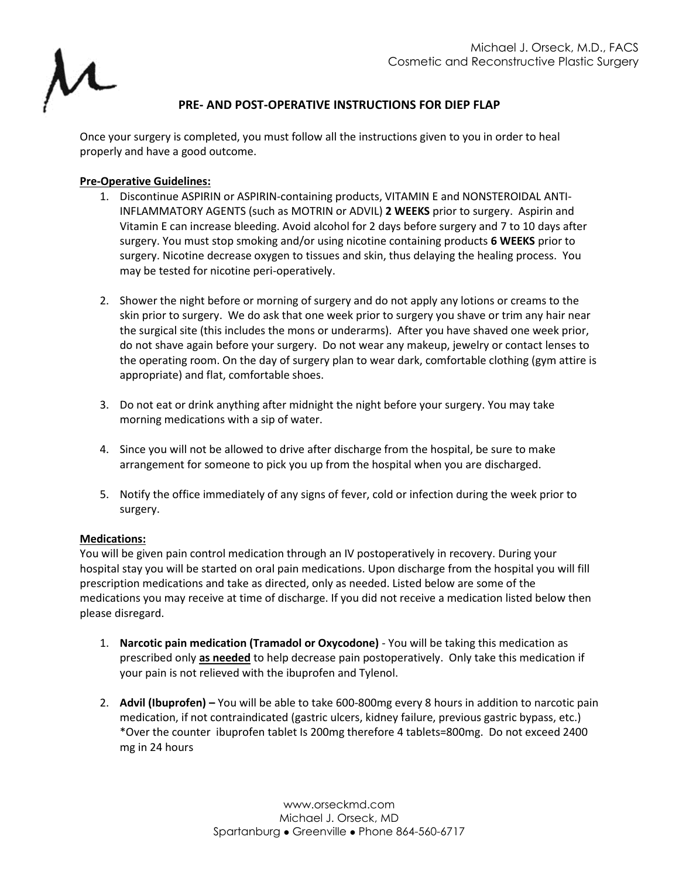

# **PRE- AND POST-OPERATIVE INSTRUCTIONS FOR DIEP FLAP**

Once your surgery is completed, you must follow all the instructions given to you in order to heal properly and have a good outcome.

## **Pre-Operative Guidelines:**

- 1. Discontinue ASPIRIN or ASPIRIN-containing products, VITAMIN E and NONSTEROIDAL ANTI-INFLAMMATORY AGENTS (such as MOTRIN or ADVIL) **2 WEEKS** prior to surgery. Aspirin and Vitamin E can increase bleeding. Avoid alcohol for 2 days before surgery and 7 to 10 days after surgery. You must stop smoking and/or using nicotine containing products **6 WEEKS** prior to surgery. Nicotine decrease oxygen to tissues and skin, thus delaying the healing process. You may be tested for nicotine peri-operatively.
- 2. Shower the night before or morning of surgery and do not apply any lotions or creams to the skin prior to surgery. We do ask that one week prior to surgery you shave or trim any hair near the surgical site (this includes the mons or underarms). After you have shaved one week prior, do not shave again before your surgery. Do not wear any makeup, jewelry or contact lenses to the operating room. On the day of surgery plan to wear dark, comfortable clothing (gym attire is appropriate) and flat, comfortable shoes.
- 3. Do not eat or drink anything after midnight the night before your surgery. You may take morning medications with a sip of water.
- 4. Since you will not be allowed to drive after discharge from the hospital, be sure to make arrangement for someone to pick you up from the hospital when you are discharged.
- 5. Notify the office immediately of any signs of fever, cold or infection during the week prior to surgery.

#### **Medications:**

You will be given pain control medication through an IV postoperatively in recovery. During your hospital stay you will be started on oral pain medications. Upon discharge from the hospital you will fill prescription medications and take as directed, only as needed. Listed below are some of the medications you may receive at time of discharge. If you did not receive a medication listed below then please disregard.

- 1. **Narcotic pain medication (Tramadol or Oxycodone)** You will be taking this medication as prescribed only **as needed** to help decrease pain postoperatively. Only take this medication if your pain is not relieved with the ibuprofen and Tylenol.
- 2. **Advil (Ibuprofen) –** You will be able to take 600-800mg every 8 hours in addition to narcotic pain medication, if not contraindicated (gastric ulcers, kidney failure, previous gastric bypass, etc.) \*Over the counter ibuprofen tablet Is 200mg therefore 4 tablets=800mg. Do not exceed 2400 mg in 24 hours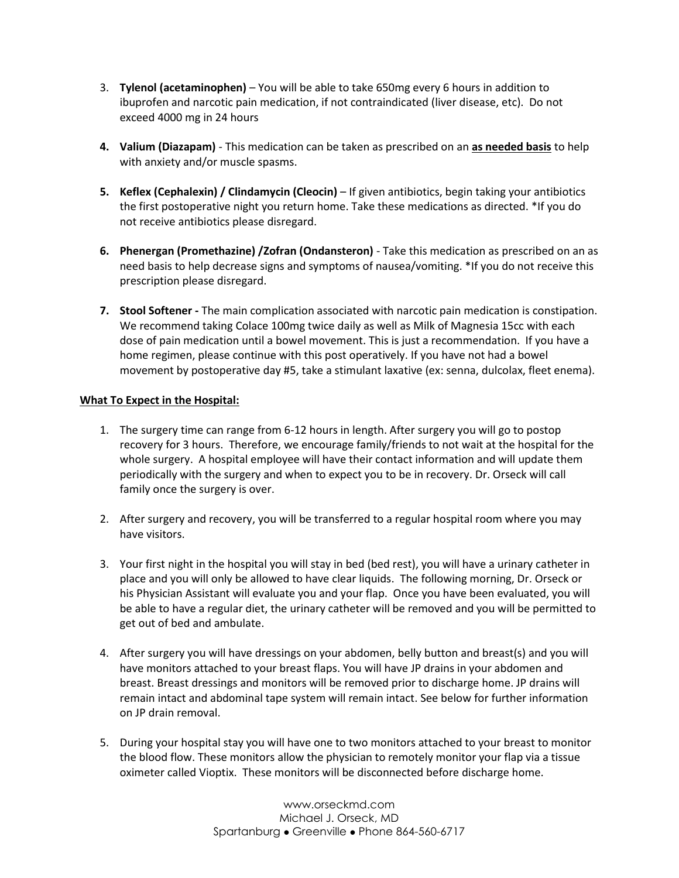- 3. **Tylenol (acetaminophen)** You will be able to take 650mg every 6 hours in addition to ibuprofen and narcotic pain medication, if not contraindicated (liver disease, etc). Do not exceed 4000 mg in 24 hours
- **4. Valium (Diazapam)** This medication can be taken as prescribed on an **as needed basis** to help with anxiety and/or muscle spasms.
- **5. Keflex (Cephalexin) / Clindamycin (Cleocin)** If given antibiotics, begin taking your antibiotics the first postoperative night you return home. Take these medications as directed. \*If you do not receive antibiotics please disregard.
- **6. Phenergan (Promethazine) /Zofran (Ondansteron)** Take this medication as prescribed on an as need basis to help decrease signs and symptoms of nausea/vomiting. \*If you do not receive this prescription please disregard.
- **7. Stool Softener -** The main complication associated with narcotic pain medication is constipation. We recommend taking Colace 100mg twice daily as well as Milk of Magnesia 15cc with each dose of pain medication until a bowel movement. This is just a recommendation. If you have a home regimen, please continue with this post operatively. If you have not had a bowel movement by postoperative day #5, take a stimulant laxative (ex: senna, dulcolax, fleet enema).

## **What To Expect in the Hospital:**

- 1. The surgery time can range from 6-12 hours in length. After surgery you will go to postop recovery for 3 hours. Therefore, we encourage family/friends to not wait at the hospital for the whole surgery. A hospital employee will have their contact information and will update them periodically with the surgery and when to expect you to be in recovery. Dr. Orseck will call family once the surgery is over.
- 2. After surgery and recovery, you will be transferred to a regular hospital room where you may have visitors.
- 3. Your first night in the hospital you will stay in bed (bed rest), you will have a urinary catheter in place and you will only be allowed to have clear liquids. The following morning, Dr. Orseck or his Physician Assistant will evaluate you and your flap. Once you have been evaluated, you will be able to have a regular diet, the urinary catheter will be removed and you will be permitted to get out of bed and ambulate.
- 4. After surgery you will have dressings on your abdomen, belly button and breast(s) and you will have monitors attached to your breast flaps. You will have JP drains in your abdomen and breast. Breast dressings and monitors will be removed prior to discharge home. JP drains will remain intact and abdominal tape system will remain intact. See below for further information on JP drain removal.
- 5. During your hospital stay you will have one to two monitors attached to your breast to monitor the blood flow. These monitors allow the physician to remotely monitor your flap via a tissue oximeter called Vioptix. These monitors will be disconnected before discharge home.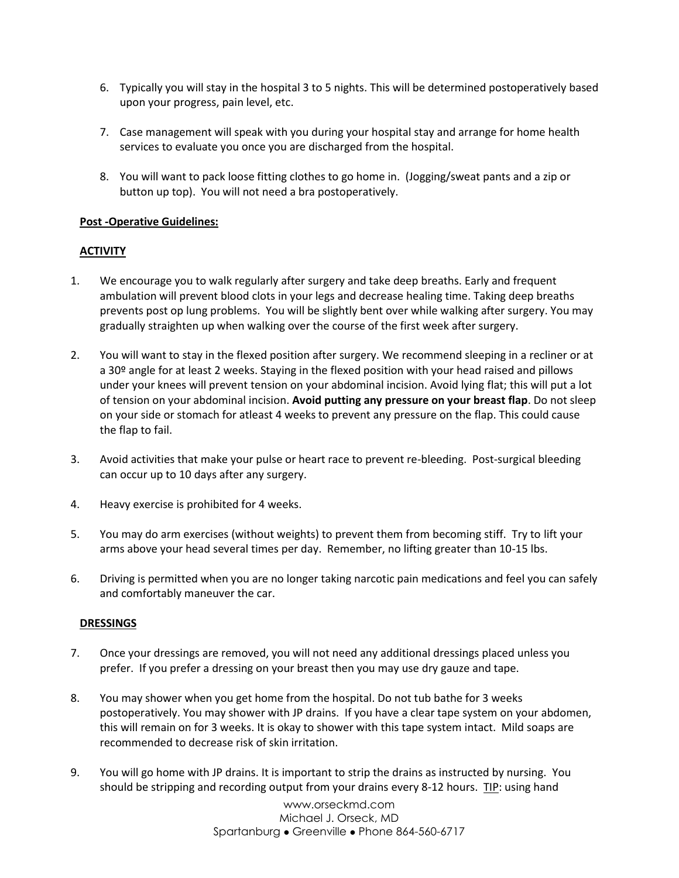- 6. Typically you will stay in the hospital 3 to 5 nights. This will be determined postoperatively based upon your progress, pain level, etc.
- 7. Case management will speak with you during your hospital stay and arrange for home health services to evaluate you once you are discharged from the hospital.
- 8. You will want to pack loose fitting clothes to go home in. (Jogging/sweat pants and a zip or button up top). You will not need a bra postoperatively.

#### **Post -Operative Guidelines:**

## **ACTIVITY**

- 1. We encourage you to walk regularly after surgery and take deep breaths. Early and frequent ambulation will prevent blood clots in your legs and decrease healing time. Taking deep breaths prevents post op lung problems. You will be slightly bent over while walking after surgery. You may gradually straighten up when walking over the course of the first week after surgery.
- 2. You will want to stay in the flexed position after surgery. We recommend sleeping in a recliner or at a 30<sup>o</sup> angle for at least 2 weeks. Staying in the flexed position with your head raised and pillows under your knees will prevent tension on your abdominal incision. Avoid lying flat; this will put a lot of tension on your abdominal incision. **Avoid putting any pressure on your breast flap**. Do not sleep on your side or stomach for atleast 4 weeks to prevent any pressure on the flap. This could cause the flap to fail.
- 3. Avoid activities that make your pulse or heart race to prevent re-bleeding. Post-surgical bleeding can occur up to 10 days after any surgery.
- 4. Heavy exercise is prohibited for 4 weeks.
- 5. You may do arm exercises (without weights) to prevent them from becoming stiff. Try to lift your arms above your head several times per day. Remember, no lifting greater than 10-15 lbs.
- 6. Driving is permitted when you are no longer taking narcotic pain medications and feel you can safely and comfortably maneuver the car.

#### **DRESSINGS**

- 7. Once your dressings are removed, you will not need any additional dressings placed unless you prefer. If you prefer a dressing on your breast then you may use dry gauze and tape.
- 8. You may shower when you get home from the hospital. Do not tub bathe for 3 weeks postoperatively. You may shower with JP drains. If you have a clear tape system on your abdomen, this will remain on for 3 weeks. It is okay to shower with this tape system intact. Mild soaps are recommended to decrease risk of skin irritation.
- 9. You will go home with JP drains. It is important to strip the drains as instructed by nursing. You should be stripping and recording output from your drains every 8-12 hours. TIP: using hand

www.orseckmd.com Michael J. Orseck, MD Spartanburg • Greenville • Phone 864-560-6717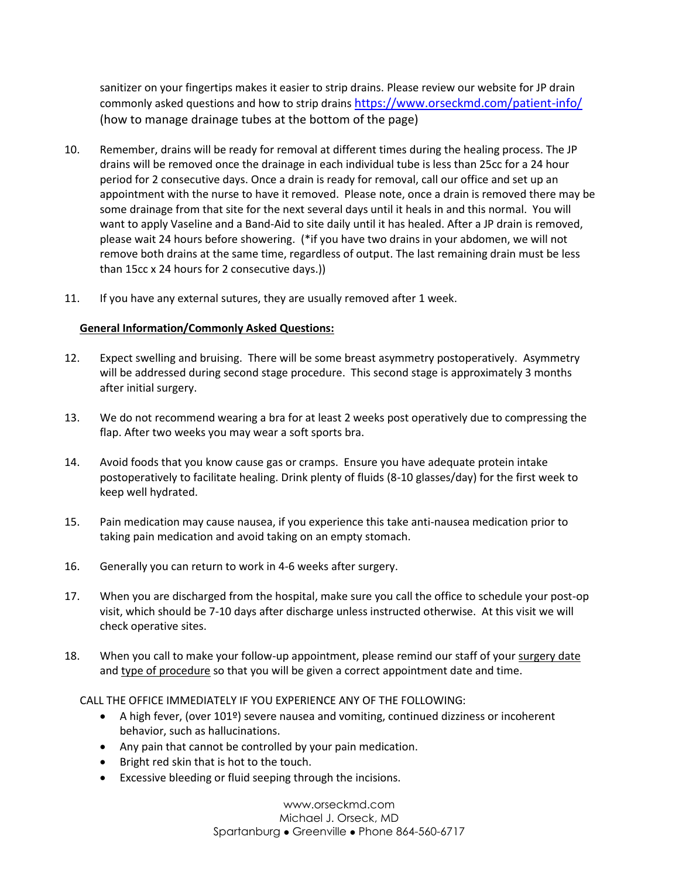sanitizer on your fingertips makes it easier to strip drains. Please review our website for JP drain commonly asked questions and how to strip drains <https://www.orseckmd.com/patient-info/> (how to manage drainage tubes at the bottom of the page)

- 10. Remember, drains will be ready for removal at different times during the healing process. The JP drains will be removed once the drainage in each individual tube is less than 25cc for a 24 hour period for 2 consecutive days. Once a drain is ready for removal, call our office and set up an appointment with the nurse to have it removed. Please note, once a drain is removed there may be some drainage from that site for the next several days until it heals in and this normal. You will want to apply Vaseline and a Band-Aid to site daily until it has healed. After a JP drain is removed, please wait 24 hours before showering. (\*if you have two drains in your abdomen, we will not remove both drains at the same time, regardless of output. The last remaining drain must be less than 15cc x 24 hours for 2 consecutive days.))
- 11. If you have any external sutures, they are usually removed after 1 week.

## **General Information/Commonly Asked Questions:**

- 12. Expect swelling and bruising. There will be some breast asymmetry postoperatively. Asymmetry will be addressed during second stage procedure. This second stage is approximately 3 months after initial surgery.
- 13. We do not recommend wearing a bra for at least 2 weeks post operatively due to compressing the flap. After two weeks you may wear a soft sports bra.
- 14. Avoid foods that you know cause gas or cramps. Ensure you have adequate protein intake postoperatively to facilitate healing. Drink plenty of fluids (8-10 glasses/day) for the first week to keep well hydrated.
- 15. Pain medication may cause nausea, if you experience this take anti-nausea medication prior to taking pain medication and avoid taking on an empty stomach.
- 16. Generally you can return to work in 4-6 weeks after surgery.
- 17. When you are discharged from the hospital, make sure you call the office to schedule your post-op visit, which should be 7-10 days after discharge unless instructed otherwise. At this visit we will check operative sites.
- 18. When you call to make your follow-up appointment, please remind our staff of your surgery date and type of procedure so that you will be given a correct appointment date and time.

### CALL THE OFFICE IMMEDIATELY IF YOU EXPERIENCE ANY OF THE FOLLOWING:

- A high fever, (over 101<sup>o</sup>) severe nausea and vomiting, continued dizziness or incoherent behavior, such as hallucinations.
- Any pain that cannot be controlled by your pain medication.
- Bright red skin that is hot to the touch.
- Excessive bleeding or fluid seeping through the incisions.

www.orseckmd.com Michael J. Orseck, MD Spartanburg ⚫ Greenville ⚫ Phone 864-560-6717